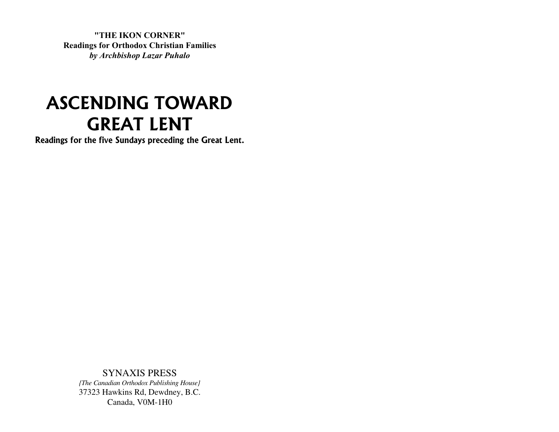**"THE IKON CORNER" Readings for Orthodox Christian Families** *by Archbishop Lazar Puhalo*

# **ASCENDING TOWARD GREAT LENT**

**Readings for the five Sundays preceding the Great Lent.**

SYNAXIS PRESS *{The Canadian Orthodox Publishing House}* 37323 Hawkins Rd, Dewdney, B.C. Canada, V0M-1H0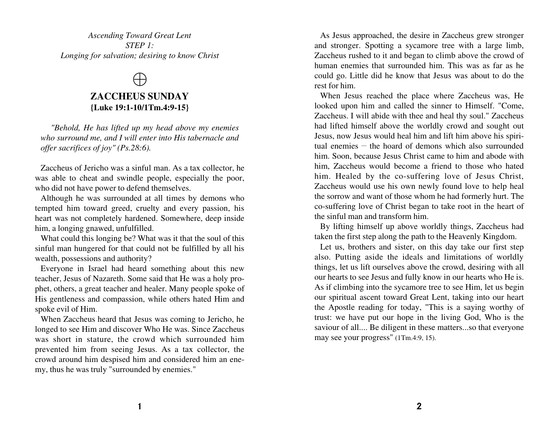*Ascending Toward Great Lent STEP 1: Longing for salvation; desiring to know Christ*

### $\bigoplus$

#### **ZACCHEUS SUNDAY {Luke 19:1-10/1Tm.4:9-15}**

*"Behold, He has lifted up my head above my enemies who surround me, and I will enter into His tabernacle and offer sacrifices of joy" (Ps.28:6).*

Zaccheus of Jericho was a sinful man. As a tax collector, he was able to cheat and swindle people, especially the poor, who did not have power to defend themselves.

Although he was surrounded at all times by demons who tempted him toward greed, cruelty and every passion, his heart was not completely hardened. Somewhere, deep inside him, a longing gnawed, unfulfilled.

What could this longing be? What was it that the soul of this sinful man hungered for that could not be fulfilled by all his wealth, possessions and authority?

Everyone in Israel had heard something about this new teacher, Jesus of Nazareth. Some said that He was a holy prophet, others, a great teacher and healer. Many people spoke of His gentleness and compassion, while others hated Him and spoke evil of Him.

When Zaccheus heard that Jesus was coming to Jericho, he longed to see Him and discover Who He was. Since Zaccheus was short in stature, the crowd which surrounded him prevented him from seeing Jesus. As a tax collector, the crowd around him despised him and considered him an enemy, thus he was truly "surrounded by enemies."

As Jesus approached, the desire in Zaccheus grew stronger and stronger. Spotting a sycamore tree with a large limb, Zaccheus rushed to it and began to climb above the crowd of human enemies that surrounded him. This was as far as he could go. Little did he know that Jesus was about to do the rest for him.

When Jesus reached the place where Zaccheus was, He looked upon him and called the sinner to Himself. "Come, Zaccheus. I will abide with thee and heal thy soul." Zaccheus had lifted himself above the worldly crowd and sought out Jesus, now Jesus would heal him and lift him above his spiritual enemies – the hoard of demons which also surrounded him. Soon, because Jesus Christ came to him and abode with him, Zaccheus would become a friend to those who hated him. Healed by the co-suffering love of Jesus Christ, Zaccheus would use his own newly found love to help heal the sorrow and want of those whom he had formerly hurt. The co-suffering love of Christ began to take root in the heart of the sinful man and transform him.

By lifting himself up above worldly things, Zaccheus had taken the first step along the path to the Heavenly Kingdom.

Let us, brothers and sister, on this day take our first step also. Putting aside the ideals and limitations of worldly things, let us lift ourselves above the crowd, desiring with all our hearts to see Jesus and fully know in our hearts who He is. As if climbing into the sycamore tree to see Him, let us begin our spiritual ascent toward Great Lent, taking into our heart the Apostle reading for today, "This is a saying worthy of trust: we have put our hope in the living God, Who is the saviour of all.... Be diligent in these matters...so that everyone may see your progress" (1Tm.4:9, 15).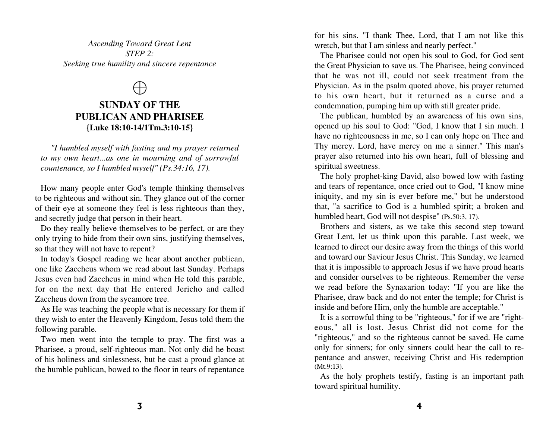*Ascending Toward Great Lent STEP 2: Seeking true humility and sincere repentance*

### $\bigoplus$

#### **SUNDAY OF THE PUBLICAN AND PHARISEE {Luke 18:10-14/1Tm.3:10-15}**

*"I humbled myself with fasting and my prayer returned to my own heart...as one in mourning and of sorrowful countenance, so I humbled myself" (Ps.34:16, 17).*

How many people enter God's temple thinking themselves to be righteous and without sin. They glance out of the corner of their eye at someone they feel is less righteous than they, and secretly judge that person in their heart.

Do they really believe themselves to be perfect, or are they only trying to hide from their own sins, justifying themselves, so that they will not have to repent?

In today's Gospel reading we hear about another publican, one like Zaccheus whom we read about last Sunday. Perhaps Jesus even had Zaccheus in mind when He told this parable, for on the next day that He entered Jericho and called Zaccheus down from the sycamore tree.

As He was teaching the people what is necessary for them if they wish to enter the Heavenly Kingdom, Jesus told them the following parable.

Two men went into the temple to pray. The first was a Pharisee, a proud, self-righteous man. Not only did he boast of his holiness and sinlessness, but he cast a proud glance at the humble publican, bowed to the floor in tears of repentance for his sins. "I thank Thee, Lord, that I am not like this wretch, but that I am sinless and nearly perfect."

The Pharisee could not open his soul to God, for God sent the Great Physician to save us. The Pharisee, being convinced that he was not ill, could not seek treatment from the Physician. As in the psalm quoted above, his prayer returned to his own heart, but it returned as a curse and a condemnation, pumping him up with still greater pride.

The publican, humbled by an awareness of his own sins, opened up his soul to God: "God, I know that I sin much. I have no righteousness in me, so I can only hope on Thee and Thy mercy. Lord, have mercy on me a sinner." This man's prayer also returned into his own heart, full of blessing and spiritual sweetness.

The holy prophet-king David, also bowed low with fasting and tears of repentance, once cried out to God, "I know mine iniquity, and my sin is ever before me," but he understood that, "a sacrifice to God is a humbled spirit; a broken and humbled heart, God will not despise" (Ps.50:3, 17).

Brothers and sisters, as we take this second step toward Great Lent, let us think upon this parable. Last week, we learned to direct our desire away from the things of this world and toward our Saviour Jesus Christ. This Sunday, we learned that it is impossible to approach Jesus if we have proud hearts and consider ourselves to be righteous. Remember the verse we read before the Synaxarion today: "If you are like the Pharisee, draw back and do not enter the temple; for Christ is inside and before Him, only the humble are acceptable."

It is a sorrowful thing to be "righteous," for if we are "righteous," all is lost. Jesus Christ did not come for the "righteous," and so the righteous cannot be saved. He came only for sinners; for only sinners could hear the call to repentance and answer, receiving Christ and His redemption (Mt.9:13).

As the holy prophets testify, fasting is an important path toward spiritual humility.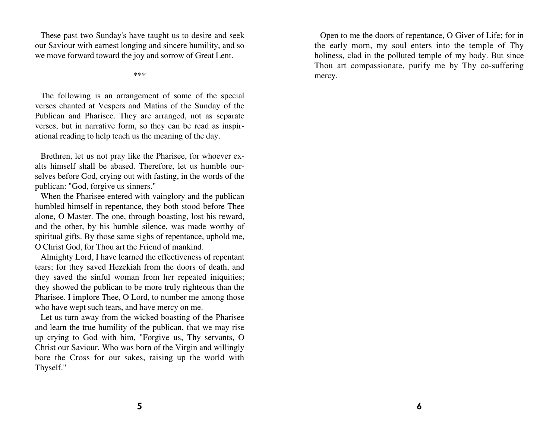These past two Sunday's have taught us to desire and seek our Saviour with earnest longing and sincere humility, and so we move forward toward the joy and sorrow of Great Lent.

\*\*\*

The following is an arrangement of some of the special verses chanted at Vespers and Matins of the Sunday of the Publican and Pharisee. They are arranged, not as separate verses, but in narrative form, so they can be read as inspirational reading to help teach us the meaning of the day.

Brethren, let us not pray like the Pharisee, for whoever exalts himself shall be abased. Therefore, let us humble ourselves before God, crying out with fasting, in the words of the publican: "God, forgive us sinners."

When the Pharisee entered with vainglory and the publican humbled himself in repentance, they both stood before Thee alone, O Master. The one, through boasting, lost his reward, and the other, by his humble silence, was made worthy of spiritual gifts. By those same sighs of repentance, uphold me, O Christ God, for Thou art the Friend of mankind.

Almighty Lord, I have learned the effectiveness of repentant tears; for they saved Hezekiah from the doors of death, and they saved the sinful woman from her repeated iniquities; they showed the publican to be more truly righteous than the Pharisee. I implore Thee, O Lord, to number me among those who have wept such tears, and have mercy on me.

Let us turn away from the wicked boasting of the Pharisee and learn the true humility of the publican, that we may rise up crying to God with him, "Forgive us, Thy servants, O Christ our Saviour, Who was born of the Virgin and willingly bore the Cross for our sakes, raising up the world with Thyself."

Open to me the doors of repentance, O Giver of Life; for in the early morn, my soul enters into the temple of Thy holiness, clad in the polluted temple of my body. But since Thou art compassionate, purify me by Thy co-suffering mercy.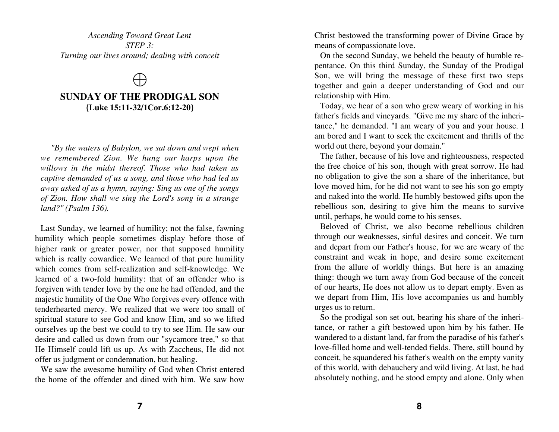*Ascending Toward Great Lent STEP 3: Turning our lives around; dealing with conceit*

 $\bigoplus$ 

#### **SUNDAY OF THE PRODIGAL SON {Luke 15:11-32/1Cor.6:12-20}**

*"By the waters of Babylon, we sat down and wept when we remembered Zion. We hung our harps upon the willows in the midst thereof. Those who had taken us captive demanded of us a song, and those who had led us away asked of us a hymn, saying: Sing us one of the songs of Zion. How shall we sing the Lord's song in a strange land?" (Psalm 136).*

Last Sunday, we learned of humility; not the false, fawning humility which people sometimes display before those of higher rank or greater power, nor that supposed humility which is really cowardice. We learned of that pure humility which comes from self-realization and self-knowledge. We learned of a two-fold humility: that of an offender who is forgiven with tender love by the one he had offended, and the majestic humility of the One Who forgives every offence with tenderhearted mercy. We realized that we were too small of spiritual stature to see God and know Him, and so we lifted ourselves up the best we could to try to see Him. He saw our desire and called us down from our "sycamore tree," so that He Himself could lift us up. As with Zaccheus, He did not offer us judgment or condemnation, but healing.

We saw the awesome humility of God when Christ entered the home of the offender and dined with him. We saw how Christ bestowed the transforming power of Divine Grace by means of compassionate love.

On the second Sunday, we beheld the beauty of humble repentance. On this third Sunday, the Sunday of the Prodigal Son, we will bring the message of these first two steps together and gain a deeper understanding of God and our relationship with Him.

Today, we hear of a son who grew weary of working in his father's fields and vineyards. "Give me my share of the inheritance," he demanded. "I am weary of you and your house. I am bored and I want to seek the excitement and thrills of the world out there, beyond your domain."

The father, because of his love and righteousness, respected the free choice of his son, though with great sorrow. He had no obligation to give the son a share of the inheritance, but love moved him, for he did not want to see his son go empty and naked into the world. He humbly bestowed gifts upon the rebellious son, desiring to give him the means to survive until, perhaps, he would come to his senses.

Beloved of Christ, we also become rebellious children through our weaknesses, sinful desires and conceit. We turn and depart from our Father's house, for we are weary of the constraint and weak in hope, and desire some excitement from the allure of worldly things. But here is an amazing thing: though we turn away from God because of the conceit of our hearts, He does not allow us to depart empty. Even as we depart from Him, His love accompanies us and humbly urges us to return.

So the prodigal son set out, bearing his share of the inheritance, or rather a gift bestowed upon him by his father. He wandered to a distant land, far from the paradise of his father's love-filled home and well-tended fields. There, still bound by conceit, he squandered his father's wealth on the empty vanity of this world, with debauchery and wild living. At last, he had absolutely nothing, and he stood empty and alone. Only when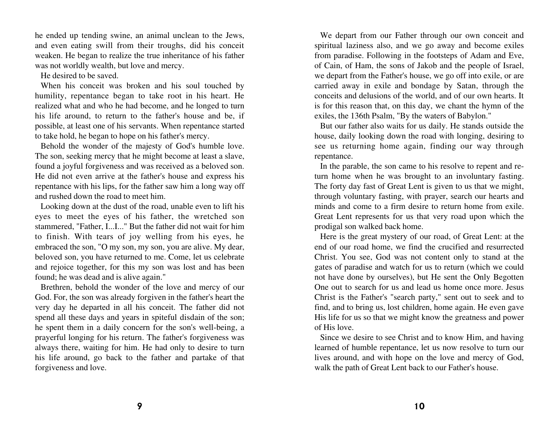he ended up tending swine, an animal unclean to the Jews, and even eating swill from their troughs, did his conceit weaken. He began to realize the true inheritance of his father was not worldly wealth, but love and mercy.

He desired to be saved.

When his conceit was broken and his soul touched by humility, repentance began to take root in his heart. He realized what and who he had become, and he longed to turn his life around, to return to the father's house and be, if possible, at least one of his servants. When repentance started to take hold, he began to hope on his father's mercy.

Behold the wonder of the majesty of God's humble love. The son, seeking mercy that he might become at least a slave, found a joyful forgiveness and was received as a beloved son. He did not even arrive at the father's house and express his repentance with his lips, for the father saw him a long way off and rushed down the road to meet him.

Looking down at the dust of the road, unable even to lift his eyes to meet the eyes of his father, the wretched son stammered, "Father, I...I..." But the father did not wait for him to finish. With tears of joy welling from his eyes, he embraced the son, "O my son, my son, you are alive. My dear, beloved son, you have returned to me. Come, let us celebrate and rejoice together, for this my son was lost and has been found; he was dead and is alive again."

Brethren, behold the wonder of the love and mercy of our God. For, the son was already forgiven in the father's heart the very day he departed in all his conceit. The father did not spend all these days and years in spiteful disdain of the son; he spent them in a daily concern for the son's well-being, a prayerful longing for his return. The father's forgiveness was always there, waiting for him. He had only to desire to turn his life around, go back to the father and partake of that forgiveness and love.

We depart from our Father through our own conceit and spiritual laziness also, and we go away and become exiles from paradise. Following in the footsteps of Adam and Eve, of Cain, of Ham, the sons of Jakob and the people of Israel, we depart from the Father's house, we go off into exile, or are carried away in exile and bondage by Satan, through the conceits and delusions of the world, and of our own hearts. It is for this reason that, on this day, we chant the hymn of the exiles, the 136th Psalm, "By the waters of Babylon."

But our father also waits for us daily. He stands outside the house, daily looking down the road with longing, desiring to see us returning home again, finding our way through repentance.

In the parable, the son came to his resolve to repent and return home when he was brought to an involuntary fasting. The forty day fast of Great Lent is given to us that we might, through voluntary fasting, with prayer, search our hearts and minds and come to a firm desire to return home from exile. Great Lent represents for us that very road upon which the prodigal son walked back home.

Here is the great mystery of our road, of Great Lent: at the end of our road home, we find the crucified and resurrected Christ. You see, God was not content only to stand at the gates of paradise and watch for us to return (which we could not have done by ourselves), but He sent the Only Begotten One out to search for us and lead us home once more. Jesus Christ is the Father's "search party," sent out to seek and to find, and to bring us, lost children, home again. He even gave His life for us so that we might know the greatness and power of His love.

Since we desire to see Christ and to know Him, and having learned of humble repentance, let us now resolve to turn our lives around, and with hope on the love and mercy of God, walk the path of Great Lent back to our Father's house.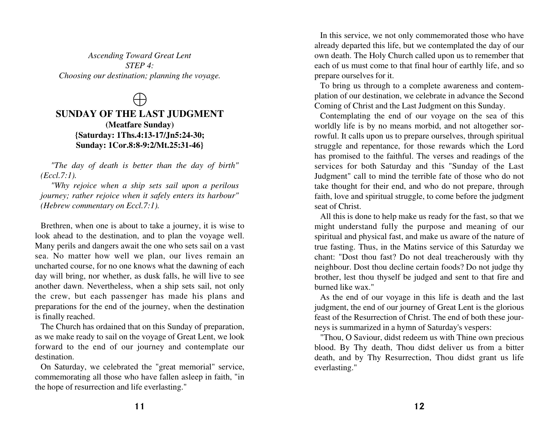*Ascending Toward Great Lent STEP 4: Choosing our destination; planning the voyage.*

## $\bigoplus$

#### **SUNDAY OF THE LAST JUDGMENT (Meatfare Sunday) {Saturday: 1Ths.4:13-17/Jn5:24-30; Sunday: 1Cor.8:8-9:2/Mt.25:31-46}**

*"The day of death is better than the day of birth" (Eccl.7:1).*

*"Why rejoice when a ship sets sail upon a perilous journey; rather rejoice when it safely enters its harbour" (Hebrew commentary on Eccl.7:1).*

Brethren, when one is about to take a journey, it is wise to look ahead to the destination, and to plan the voyage well. Many perils and dangers await the one who sets sail on a vast sea. No matter how well we plan, our lives remain an uncharted course, for no one knows what the dawning of each day will bring, nor whether, as dusk falls, he will live to see another dawn. Nevertheless, when a ship sets sail, not only the crew, but each passenger has made his plans and preparations for the end of the journey, when the destination is finally reached.

The Church has ordained that on this Sunday of preparation, as we make ready to sail on the voyage of Great Lent, we look forward to the end of our journey and contemplate our destination.

On Saturday, we celebrated the "great memorial" service, commemorating all those who have fallen asleep in faith, "in the hope of resurrection and life everlasting."

In this service, we not only commemorated those who have already departed this life, but we contemplated the day of our own death. The Holy Church called upon us to remember that each of us must come to that final hour of earthly life, and so prepare ourselves for it.

To bring us through to a complete awareness and contemplation of our destination, we celebrate in advance the Second Coming of Christ and the Last Judgment on this Sunday.

Contemplating the end of our voyage on the sea of this worldly life is by no means morbid, and not altogether sorrowful. It calls upon us to prepare ourselves, through spiritual struggle and repentance, for those rewards which the Lord has promised to the faithful. The verses and readings of the services for both Saturday and this "Sunday of the Last Judgment" call to mind the terrible fate of those who do not take thought for their end, and who do not prepare, through faith, love and spiritual struggle, to come before the judgment seat of Christ.

All this is done to help make us ready for the fast, so that we might understand fully the purpose and meaning of our spiritual and physical fast, and make us aware of the nature of true fasting. Thus, in the Matins service of this Saturday we chant: "Dost thou fast? Do not deal treacherously with thy neighbour. Dost thou decline certain foods? Do not judge thy brother, lest thou thyself be judged and sent to that fire and burned like wax."

As the end of our voyage in this life is death and the last judgment, the end of our journey of Great Lent is the glorious feast of the Resurrection of Christ. The end of both these journeys is summarized in a hymn of Saturday's vespers:

"Thou, O Saviour, didst redeem us with Thine own precious blood. By Thy death, Thou didst deliver us from a bitter death, and by Thy Resurrection, Thou didst grant us life everlasting."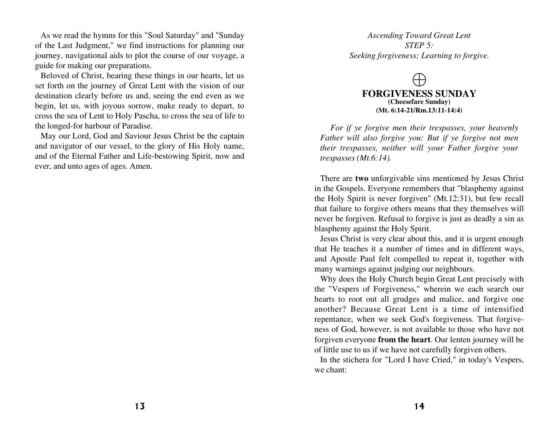As we read the hymns for this "Soul Saturday" and "Sunday of the Last Judgment," we find instructions for planning our journey, navigational aids to plot the course of our voyage, a guide for making our preparations.

Beloved of Christ, bearing these things in our hearts, let us set forth on the journey of Great Lent with the vision of our destination clearly before us and, seeing the end even as we begin, let us, with joyous sorrow, make ready to depart, to cross the sea of Lent to Holy Pascha, to cross the sea of life to the longed-for harbour of Paradise.

May our Lord, God and Saviour Jesus Christ be the captain and navigator of our vessel, to the glory of His Holy name, and of the Eternal Father and Life-bestowing Spirit, now and ever, and unto ages of ages. Amen.

*Ascending Toward Great Lent STEP 5: Seeking forgiveness; Learning to forgive.*

#### $\bigoplus$ **FORGIVENESS SUNDAY (Cheesefare Sunday) (Mt. 6:14-21/Rm.13:11-14:4)**

*For if ye forgive men their trespasses, your heavenly Father will also forgive you: But if ye forgive not men their trespasses, neither will your Father forgive your trespasses (Mt.6:14).*

There are **two** unforgivable sins mentioned by Jesus Christ in the Gospels. Everyone remembers that "blasphemy against the Holy Spirit is never forgiven" (Mt.12:31), but few recall that failure to forgive others means that they themselves will never be forgiven. Refusal to forgive is just as deadly a sin as blasphemy against the Holy Spirit.

Jesus Christ is very clear about this, and it is urgent enough that He teaches it a number of times and in different ways, and Apostle Paul felt compelled to repeat it, together with many warnings against judging our neighbours.

Why does the Holy Church begin Great Lent precisely with the "Vespers of Forgiveness," wherein we each search our hearts to root out all grudges and malice, and forgive one another? Because Great Lent is a time of intensified repentance, when we seek God's forgiveness. That forgiveness of God, however, is not available to those who have not forgiven everyone **from the heart**. Our lenten journey will be of little use to us if we have not carefully forgiven others.

In the stichera for "Lord I have Cried," in today's Vespers, we chant: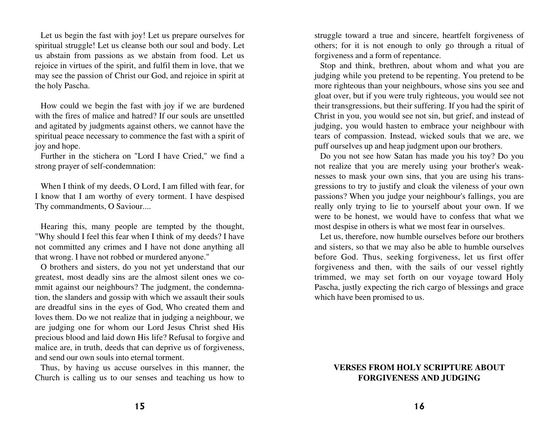Let us begin the fast with joy! Let us prepare ourselves for spiritual struggle! Let us cleanse both our soul and body. Let us abstain from passions as we abstain from food. Let us rejoice in virtues of the spirit, and fulfil them in love, that we may see the passion of Christ our God, and rejoice in spirit at the holy Pascha.

How could we begin the fast with joy if we are burdened with the fires of malice and hatred? If our souls are unsettled and agitated by judgments against others, we cannot have the spiritual peace necessary to commence the fast with a spirit of joy and hope.

Further in the stichera on "Lord I have Cried," we find a strong prayer of self-condemnation:

When I think of my deeds, O Lord, I am filled with fear, for I know that I am worthy of every torment. I have despised Thy commandments, O Saviour....

Hearing this, many people are tempted by the thought, "Why should I feel this fear when I think of my deeds? I have not committed any crimes and I have not done anything all that wrong. I have not robbed or murdered anyone."

O brothers and sisters, do you not yet understand that our greatest, most deadly sins are the almost silent ones we commit against our neighbours? The judgment, the condemnation, the slanders and gossip with which we assault their souls are dreadful sins in the eyes of God, Who created them and loves them. Do we not realize that in judging a neighbour, we are judging one for whom our Lord Jesus Christ shed His precious blood and laid down His life? Refusal to forgive and malice are, in truth, deeds that can deprive us of forgiveness, and send our own souls into eternal torment.

Thus, by having us accuse ourselves in this manner, the Church is calling us to our senses and teaching us how to

struggle toward a true and sincere, heartfelt forgiveness of others; for it is not enough to only go through a ritual of forgiveness and a form of repentance.

Stop and think, brethren, about whom and what you are judging while you pretend to be repenting. You pretend to be more righteous than your neighbours, whose sins you see and gloat over, but if you were truly righteous, you would see not their transgressions, but their suffering. If you had the spirit of Christ in you, you would see not sin, but grief, and instead of judging, you would hasten to embrace your neighbour with tears of compassion. Instead, wicked souls that we are, we puff ourselves up and heap judgment upon our brothers.

Do you not see how Satan has made you his toy? Do you not realize that you are merely using your brother's weaknesses to mask your own sins, that you are using his transgressions to try to justify and cloak the vileness of your own passions? When you judge your neighbour's fallings, you are really only trying to lie to yourself about your own. If we were to be honest, we would have to confess that what we most despise in others is what we most fear in ourselves.

Let us, therefore, now humble ourselves before our brothers and sisters, so that we may also be able to humble ourselves before God. Thus, seeking forgiveness, let us first offer forgiveness and then, with the sails of our vessel rightly trimmed, we may set forth on our voyage toward Holy Pascha, justly expecting the rich cargo of blessings and grace which have been promised to us.

#### **VERSES FROM HOLY SCRIPTURE ABOUT FORGIVENESS AND JUDGING**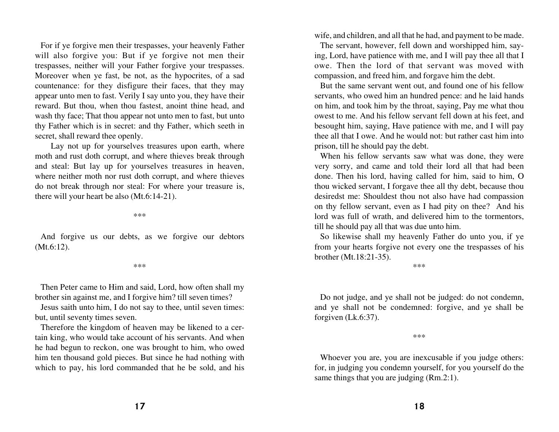For if ye forgive men their trespasses, your heavenly Father will also forgive you: But if ye forgive not men their trespasses, neither will your Father forgive your trespasses. Moreover when ye fast, be not, as the hypocrites, of a sad countenance: for they disfigure their faces, that they may appear unto men to fast. Verily I say unto you, they have their reward. But thou, when thou fastest, anoint thine head, and wash thy face; That thou appear not unto men to fast, but unto thy Father which is in secret: and thy Father, which seeth in secret, shall reward thee openly.

Lay not up for yourselves treasures upon earth, where moth and rust doth corrupt, and where thieves break through and steal: But lay up for yourselves treasures in heaven, where neither moth nor rust doth corrupt, and where thieves do not break through nor steal: For where your treasure is, there will your heart be also (Mt.6:14-21).

\*\*\*

And forgive us our debts, as we forgive our debtors (Mt.6:12).

\*\*\*

Then Peter came to Him and said, Lord, how often shall my brother sin against me, and I forgive him? till seven times?

Jesus saith unto him, I do not say to thee, until seven times: but, until seventy times seven.

Therefore the kingdom of heaven may be likened to a certain king, who would take account of his servants. And when he had begun to reckon, one was brought to him, who owed him ten thousand gold pieces. But since he had nothing with which to pay, his lord commanded that he be sold, and his wife, and children, and all that he had, and payment to be made.

The servant, however, fell down and worshipped him, saying, Lord, have patience with me, and I will pay thee all that I owe. Then the lord of that servant was moved with compassion, and freed him, and forgave him the debt.

But the same servant went out, and found one of his fellow servants, who owed him an hundred pence: and he laid hands on him, and took him by the throat, saying, Pay me what thou owest to me. And his fellow servant fell down at his feet, and besought him, saying, Have patience with me, and I will pay thee all that I owe. And he would not: but rather cast him into prison, till he should pay the debt.

When his fellow servants saw what was done, they were very sorry, and came and told their lord all that had been done. Then his lord, having called for him, said to him, O thou wicked servant, I forgave thee all thy debt, because thou desiredst me: Shouldest thou not also have had compassion on thy fellow servant, even as I had pity on thee? And his lord was full of wrath, and delivered him to the tormentors, till he should pay all that was due unto him.

So likewise shall my heavenly Father do unto you, if ye from your hearts forgive not every one the trespasses of his brother (Mt.18:21-35).

\*\*\*

Do not judge, and ye shall not be judged: do not condemn, and ye shall not be condemned: forgive, and ye shall be forgiven (Lk.6:37).

\*\*\*

Whoever you are, you are inexcusable if you judge others: for, in judging you condemn yourself, for you yourself do the same things that you are judging (Rm.2:1).